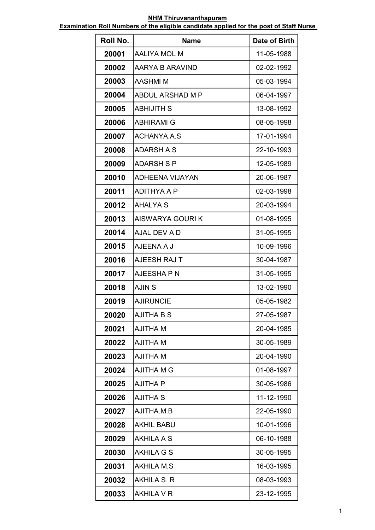| Roll No. | <b>Name</b>             | Date of Birth |
|----------|-------------------------|---------------|
| 20001    | AALIYA MOL M            | 11-05-1988    |
| 20002    | AARYA B ARAVIND         | 02-02-1992    |
| 20003    | AASHMI M                | 05-03-1994    |
| 20004    | <b>ABDUL ARSHAD M P</b> | 06-04-1997    |
| 20005    | <b>ABHIJITH S</b>       | 13-08-1992    |
| 20006    | ABHIRAMI G              | 08-05-1998    |
| 20007    | <b>ACHANYA.A.S</b>      | 17-01-1994    |
| 20008    | <b>ADARSH A S</b>       | 22-10-1993    |
| 20009    | <b>ADARSH S P</b>       | 12-05-1989    |
| 20010    | ADHEENA VIJAYAN         | 20-06-1987    |
| 20011    | <b>ADITHYA A P</b>      | 02-03-1998    |
| 20012    | <b>AHALYA S</b>         | 20-03-1994    |
| 20013    | <b>AISWARYA GOURIK</b>  | 01-08-1995    |
| 20014    | AJAL DEV A D            | 31-05-1995    |
| 20015    | AJEENA A J              | 10-09-1996    |
| 20016    | AJEESH RAJ T            | 30-04-1987    |
| 20017    | AJEESHA P N             | 31-05-1995    |
| 20018    | <b>AJINS</b>            | 13-02-1990    |
| 20019    | <b>AJIRUNCIE</b>        | 05-05-1982    |
| 20020    | <b>AJITHA B.S</b>       | 27-05-1987    |
| 20021    | <b>AJITHA M</b>         | 20-04-1985    |
| 20022    | <b>AJITHA M</b>         | 30-05-1989    |
| 20023    | <b>AJITHA M</b>         | 20-04-1990    |
| 20024    | <b>AJITHA M G</b>       | 01-08-1997    |
| 20025    | <b>AJITHA P</b>         | 30-05-1986    |
| 20026    | <b>AJITHA S</b>         | 11-12-1990    |
| 20027    | AJITHA.M.B              | 22-05-1990    |
| 20028    | <b>AKHIL BABU</b>       | 10-01-1996    |
| 20029    | <b>AKHILA A S</b>       | 06-10-1988    |
| 20030    | <b>AKHILA G S</b>       | 30-05-1995    |
| 20031    | <b>AKHILA M.S</b>       | 16-03-1995    |
| 20032    | AKHILA S. R             | 08-03-1993    |
| 20033    | <b>AKHILA V R</b>       | 23-12-1995    |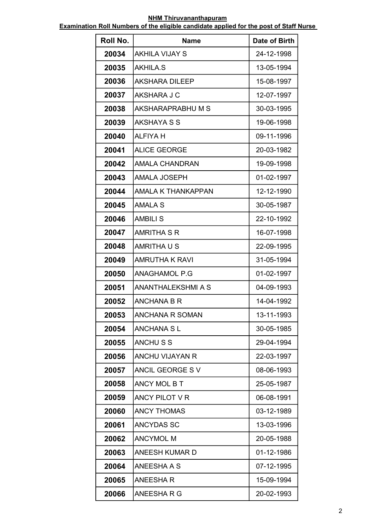| Roll No. | <b>Name</b>               | Date of Birth |
|----------|---------------------------|---------------|
| 20034    | <b>AKHILA VIJAY S</b>     | 24-12-1998    |
| 20035    | AKHILA.S                  | 13-05-1994    |
| 20036    | AKSHARA DILEEP            | 15-08-1997    |
| 20037    | AKSHARA J C               | 12-07-1997    |
| 20038    | AKSHARAPRABHU M S         | 30-03-1995    |
| 20039    | <b>AKSHAYA S S</b>        | 19-06-1998    |
| 20040    | <b>ALFIYA H</b>           | 09-11-1996    |
| 20041    | <b>ALICE GEORGE</b>       | 20-03-1982    |
| 20042    | <b>AMALA CHANDRAN</b>     | 19-09-1998    |
| 20043    | <b>AMALA JOSEPH</b>       | 01-02-1997    |
| 20044    | <b>AMALA K THANKAPPAN</b> | 12-12-1990    |
| 20045    | <b>AMALA S</b>            | 30-05-1987    |
| 20046    | <b>AMBILIS</b>            | 22-10-1992    |
| 20047    | <b>AMRITHA S R</b>        | 16-07-1998    |
| 20048    | AMRITHA U S               | 22-09-1995    |
| 20049    | <b>AMRUTHA K RAVI</b>     | 31-05-1994    |
| 20050    | ANAGHAMOL P.G             | 01-02-1997    |
| 20051    | <b>ANANTHALEKSHMI A S</b> | 04-09-1993    |
| 20052    | ANCHANA B R               | 14-04-1992    |
| 20053    | ANCHANA R SOMAN           | 13-11-1993    |
| 20054    | <b>ANCHANA SL</b>         | 30-05-1985    |
| 20055    | <b>ANCHUSS</b>            | 29-04-1994    |
| 20056    | <b>ANCHU VIJAYAN R</b>    | 22-03-1997    |
| 20057    | <b>ANCIL GEORGE SV</b>    | 08-06-1993    |
| 20058    | <b>ANCY MOL B T</b>       | 25-05-1987    |
| 20059    | ANCY PILOT V R            | 06-08-1991    |
| 20060    | <b>ANCY THOMAS</b>        | 03-12-1989    |
| 20061    | <b>ANCYDAS SC</b>         | 13-03-1996    |
| 20062    | <b>ANCYMOL M</b>          | 20-05-1988    |
| 20063    | <b>ANEESH KUMAR D</b>     | 01-12-1986    |
| 20064    | ANEESHA A S               | 07-12-1995    |
| 20065    | <b>ANEESHAR</b>           | 15-09-1994    |
| 20066    | ANEESHARG                 | 20-02-1993    |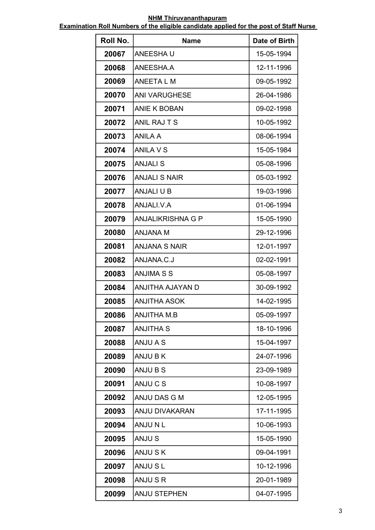| Roll No. | <b>Name</b>              | Date of Birth |
|----------|--------------------------|---------------|
| 20067    | ANEESHA U                | 15-05-1994    |
| 20068    | ANEESHA.A                | 12-11-1996    |
| 20069    | ANEETA L M               | 09-05-1992    |
| 20070    | <b>ANI VARUGHESE</b>     | 26-04-1986    |
| 20071    | <b>ANIE K BOBAN</b>      | 09-02-1998    |
| 20072    | ANIL RAJ T S             | 10-05-1992    |
| 20073    | ANILA A                  | 08-06-1994    |
| 20074    | <b>ANILA V S</b>         | 15-05-1984    |
| 20075    | <b>ANJALIS</b>           | 05-08-1996    |
| 20076    | <b>ANJALI S NAIR</b>     | 05-03-1992    |
| 20077    | <b>ANJALI U B</b>        | 19-03-1996    |
| 20078    | ANJALI.V.A               | 01-06-1994    |
| 20079    | <b>ANJALIKRISHNA G P</b> | 15-05-1990    |
| 20080    | ANJANA M                 | 29-12-1996    |
| 20081    | <b>ANJANA S NAIR</b>     | 12-01-1997    |
| 20082    | ANJANA.C.J               | 02-02-1991    |
| 20083    | <b>ANJIMA S S</b>        | 05-08-1997    |
| 20084    | ANJITHA AJAYAN D         | 30-09-1992    |
| 20085    | <b>ANJITHA ASOK</b>      | 14-02-1995    |
| 20086    | <b>ANJITHA M.B</b>       | 05-09-1997    |
| 20087    | <b>ANJITHA S</b>         | 18-10-1996    |
| 20088    | ANJU A S                 | 15-04-1997    |
| 20089    | ANJU B K                 | 24-07-1996    |
| 20090    | ANJU B S                 | 23-09-1989    |
| 20091    | ANJU C S                 | 10-08-1997    |
| 20092    | ANJU DAS G M             | 12-05-1995    |
| 20093    | <b>ANJU DIVAKARAN</b>    | 17-11-1995    |
| 20094    | ANJUNL                   | 10-06-1993    |
| 20095    | <b>ANJUS</b>             | 15-05-1990    |
| 20096    | ANJUSK                   | 09-04-1991    |
| 20097    | <b>ANJUSL</b>            | 10-12-1996    |
| 20098    | ANJU S R                 | 20-01-1989    |
| 20099    | <b>ANJU STEPHEN</b>      | 04-07-1995    |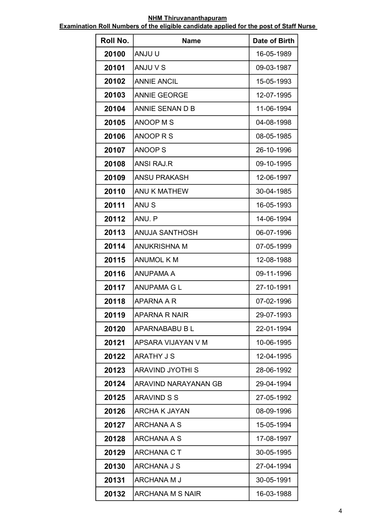| Roll No. | <b>Name</b>             | Date of Birth |
|----------|-------------------------|---------------|
| 20100    | <b>ANJU U</b>           | 16-05-1989    |
| 20101    | ANJU V S                | 09-03-1987    |
| 20102    | <b>ANNIE ANCIL</b>      | 15-05-1993    |
| 20103    | <b>ANNIE GEORGE</b>     | 12-07-1995    |
| 20104    | ANNIE SENAN D B         | 11-06-1994    |
| 20105    | <b>ANOOP MS</b>         | 04-08-1998    |
| 20106    | ANOOP R S               | 08-05-1985    |
| 20107    | <b>ANOOP S</b>          | 26-10-1996    |
| 20108    | <b>ANSI RAJ.R</b>       | 09-10-1995    |
| 20109    | <b>ANSU PRAKASH</b>     | 12-06-1997    |
| 20110    | <b>ANU K MATHEW</b>     | 30-04-1985    |
| 20111    | ANU <sub>S</sub>        | 16-05-1993    |
| 20112    | ANU. P                  | 14-06-1994    |
| 20113    | ANUJA SANTHOSH          | 06-07-1996    |
| 20114    | <b>ANUKRISHNA M</b>     | 07-05-1999    |
| 20115    | <b>ANUMOL K M</b>       | 12-08-1988    |
| 20116    | <b>ANUPAMA A</b>        | 09-11-1996    |
| 20117    | <b>ANUPAMA G L</b>      | 27-10-1991    |
| 20118    | APARNA A R              | 07-02-1996    |
| 20119    | <b>APARNA R NAIR</b>    | 29-07-1993    |
| 20120    | APARNABABU B L          | 22-01-1994    |
| 20121    | APSARA VIJAYAN V M      | 10-06-1995    |
| 20122    | <b>ARATHY J S</b>       | 12-04-1995    |
| 20123    | <b>ARAVIND JYOTHI S</b> | 28-06-1992    |
| 20124    | ARAVIND NARAYANAN GB    | 29-04-1994    |
| 20125    | <b>ARAVIND S S</b>      | 27-05-1992    |
| 20126    | <b>ARCHA K JAYAN</b>    | 08-09-1996    |
| 20127    | ARCHANA A S             | 15-05-1994    |
| 20128    | ARCHANA A S             | 17-08-1997    |
| 20129    | <b>ARCHANA C T</b>      | 30-05-1995    |
| 20130    | ARCHANA J S             | 27-04-1994    |
| 20131    | ARCHANA M J             | 30-05-1991    |
| 20132    | ARCHANA M S NAIR        | 16-03-1988    |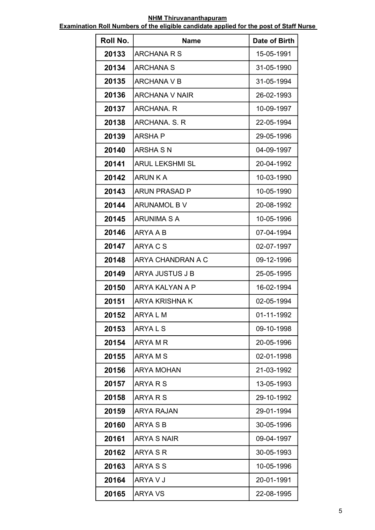| Roll No. | <b>Name</b>            | Date of Birth |
|----------|------------------------|---------------|
| 20133    | ARCHANA R S            | 15-05-1991    |
| 20134    | <b>ARCHANA S</b>       | 31-05-1990    |
| 20135    | ARCHANA V B            | 31-05-1994    |
| 20136    | <b>ARCHANA V NAIR</b>  | 26-02-1993    |
| 20137    | ARCHANA, R             | 10-09-1997    |
| 20138    | ARCHANA, S. R          | 22-05-1994    |
| 20139    | ARSHA P                | 29-05-1996    |
| 20140    | <b>ARSHA S N</b>       | 04-09-1997    |
| 20141    | <b>ARUL LEKSHMI SL</b> | 20-04-1992    |
| 20142    | <b>ARUN K A</b>        | 10-03-1990    |
| 20143    | <b>ARUN PRASAD P</b>   | 10-05-1990    |
| 20144    | ARUNAMOL B V           | 20-08-1992    |
| 20145    | <b>ARUNIMA S A</b>     | 10-05-1996    |
| 20146    | ARYA A B               | 07-04-1994    |
| 20147    | ARYA C S               | 02-07-1997    |
| 20148    | ARYA CHANDRAN A C      | 09-12-1996    |
| 20149    | ARYA JUSTUS J B        | 25-05-1995    |
| 20150    | ARYA KALYAN A P        | 16-02-1994    |
| 20151    | ARYA KRISHNA K         | 02-05-1994    |
| 20152    | ARYA L M               | 01-11-1992    |
| 20153    | ARYAL <sub>S</sub>     | 09-10-1998    |
| 20154    | ARYA M R               | 20-05-1996    |
| 20155    | <b>ARYAMS</b>          | 02-01-1998    |
| 20156    | <b>ARYA MOHAN</b>      | 21-03-1992    |
| 20157    | ARYA R S               | 13-05-1993    |
| 20158    | ARYA R S               | 29-10-1992    |
| 20159    | <b>ARYA RAJAN</b>      | 29-01-1994    |
| 20160    | ARYA S B               | 30-05-1996    |
| 20161    | <b>ARYA S NAIR</b>     | 09-04-1997    |
| 20162    | ARYA S R               | 30-05-1993    |
| 20163    | ARYA S S               | 10-05-1996    |
| 20164    | ARYA V J               | 20-01-1991    |
| 20165    | <b>ARYA VS</b>         | 22-08-1995    |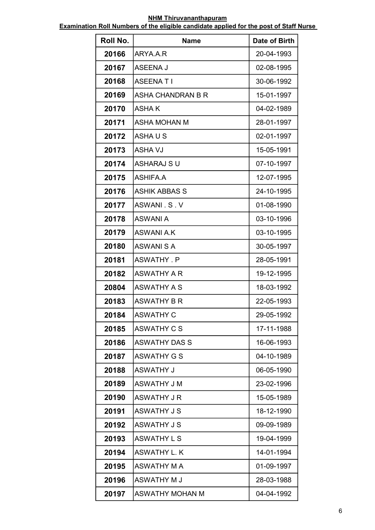| Roll No. | <b>Name</b>            | Date of Birth |
|----------|------------------------|---------------|
| 20166    | ARYA.A.R               | 20-04-1993    |
| 20167    | ASEENA J               | 02-08-1995    |
| 20168    | <b>ASEENATI</b>        | 30-06-1992    |
| 20169    | ASHA CHANDRAN B R      | 15-01-1997    |
| 20170    | ASHA K                 | 04-02-1989    |
| 20171    | ASHA MOHAN M           | 28-01-1997    |
| 20172    | ASHAUS                 | 02-01-1997    |
| 20173    | <b>ASHA VJ</b>         | 15-05-1991    |
| 20174    | <b>ASHARAJ SU</b>      | 07-10-1997    |
| 20175    | <b>ASHIFA.A</b>        | 12-07-1995    |
| 20176    | <b>ASHIK ABBAS S</b>   | 24-10-1995    |
| 20177    | ASWANI S.V             | 01-08-1990    |
| 20178    | <b>ASWANI A</b>        | 03-10-1996    |
| 20179    | <b>ASWANI A.K</b>      | 03-10-1995    |
| 20180    | <b>ASWANISA</b>        | 30-05-1997    |
| 20181    | ASWATHY, P             | 28-05-1991    |
| 20182    | <b>ASWATHY A R</b>     | 19-12-1995    |
| 20804    | <b>ASWATHY A S</b>     | 18-03-1992    |
| 20183    | ASWATHY B R            | 22-05-1993    |
| 20184    | <b>ASWATHY C</b>       | 29-05-1992    |
| 20185    | ASWATHY C S            | 17-11-1988    |
| 20186    | <b>ASWATHY DAS S</b>   | 16-06-1993    |
| 20187    | <b>ASWATHY G S</b>     | 04-10-1989    |
| 20188    | <b>ASWATHY J</b>       | 06-05-1990    |
| 20189    | ASWATHY J M            | 23-02-1996    |
| 20190    | ASWATHY J R            | 15-05-1989    |
| 20191    | <b>ASWATHY J S</b>     | 18-12-1990    |
| 20192    | <b>ASWATHY J S</b>     | 09-09-1989    |
| 20193    | <b>ASWATHY L S</b>     | 19-04-1999    |
| 20194    | ASWATHY L. K           | 14-01-1994    |
| 20195    | <b>ASWATHY M A</b>     | 01-09-1997    |
| 20196    | ASWATHY M J            | 28-03-1988    |
| 20197    | <b>ASWATHY MOHAN M</b> | 04-04-1992    |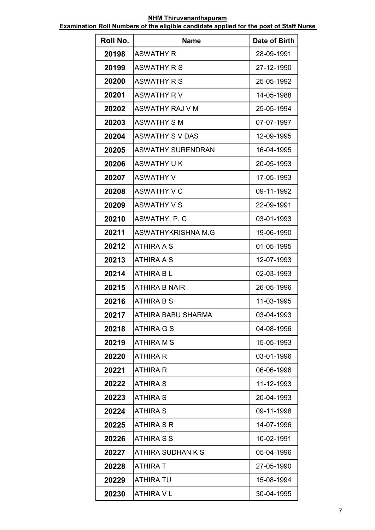| Roll No. | <b>Name</b>              | Date of Birth |
|----------|--------------------------|---------------|
| 20198    | ASWATHY R                | 28-09-1991    |
| 20199    | <b>ASWATHY R S</b>       | 27-12-1990    |
| 20200    | <b>ASWATHY R S</b>       | 25-05-1992    |
| 20201    | <b>ASWATHY RV</b>        | 14-05-1988    |
| 20202    | ASWATHY RAJ V M          | 25-05-1994    |
| 20203    | <b>ASWATHY S M</b>       | 07-07-1997    |
| 20204    | <b>ASWATHY S V DAS</b>   | 12-09-1995    |
| 20205    | <b>ASWATHY SURENDRAN</b> | 16-04-1995    |
| 20206    | <b>ASWATHY UK</b>        | 20-05-1993    |
| 20207    | <b>ASWATHY V</b>         | 17-05-1993    |
| 20208    | <b>ASWATHY V C</b>       | 09-11-1992    |
| 20209    | <b>ASWATHY V S</b>       | 22-09-1991    |
| 20210    | ASWATHY, P. C            | 03-01-1993    |
| 20211    | ASWATHYKRISHNA M.G       | 19-06-1990    |
| 20212    | <b>ATHIRA A S</b>        | 01-05-1995    |
| 20213    | ATHIRA A S               | 12-07-1993    |
| 20214    | <b>ATHIRA BL</b>         | 02-03-1993    |
| 20215    | <b>ATHIRA B NAIR</b>     | 26-05-1996    |
| 20216    | <b>ATHIRA B S</b>        | 11-03-1995    |
| 20217    | ATHIRA BABU SHARMA       | 03-04-1993    |
| 20218    | <b>ATHIRA G S</b>        | 04-08-1996    |
| 20219    | <b>ATHIRA M S</b>        | 15-05-1993    |
| 20220    | <b>ATHIRA R</b>          | 03-01-1996    |
| 20221    | <b>ATHIRA R</b>          | 06-06-1996    |
| 20222    | ATHIRA S                 | 11-12-1993    |
| 20223    | <b>ATHIRA S</b>          | 20-04-1993    |
| 20224    | <b>ATHIRA S</b>          | 09-11-1998    |
| 20225    | <b>ATHIRA S R</b>        | 14-07-1996    |
| 20226    | <b>ATHIRA S S</b>        | 10-02-1991    |
| 20227    | ATHIRA SUDHAN K S        | 05-04-1996    |
| 20228    | <b>ATHIRA T</b>          | 27-05-1990    |
| 20229    | <b>ATHIRA TU</b>         | 15-08-1994    |
| 20230    | <b>ATHIRA V L</b>        | 30-04-1995    |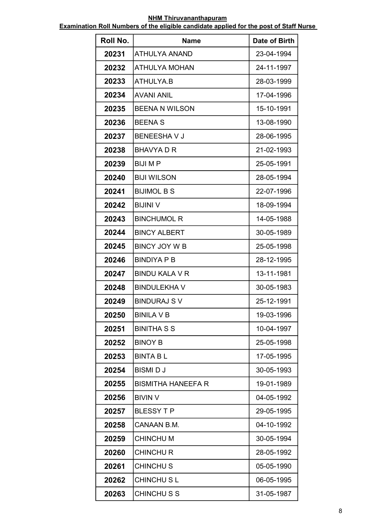| Roll No. | <b>Name</b>               | Date of Birth |
|----------|---------------------------|---------------|
| 20231    | <b>ATHULYA ANAND</b>      | 23-04-1994    |
| 20232    | <b>ATHULYA MOHAN</b>      | 24-11-1997    |
| 20233    | ATHULYA.B                 | 28-03-1999    |
| 20234    | <b>AVANI ANIL</b>         | 17-04-1996    |
| 20235    | <b>BEENA N WILSON</b>     | 15-10-1991    |
| 20236    | <b>BEENA S</b>            | 13-08-1990    |
| 20237    | <b>BENEESHAVJ</b>         | 28-06-1995    |
| 20238    | <b>BHAVYA D R</b>         | 21-02-1993    |
| 20239    | <b>BIJIMP</b>             | 25-05-1991    |
| 20240    | <b>BIJI WILSON</b>        | 28-05-1994    |
| 20241    | <b>BIJIMOL B S</b>        | 22-07-1996    |
| 20242    | <b>BIJINI V</b>           | 18-09-1994    |
| 20243    | <b>BINCHUMOL R</b>        | 14-05-1988    |
| 20244    | <b>BINCY ALBERT</b>       | 30-05-1989    |
| 20245    | <b>BINCY JOY W B</b>      | 25-05-1998    |
| 20246    | <b>BINDIYA P B</b>        | 28-12-1995    |
| 20247    | <b>BINDU KALA V R</b>     | 13-11-1981    |
| 20248    | <b>BINDULEKHA V</b>       | 30-05-1983    |
| 20249    | <b>BINDURAJ S V</b>       | 25-12-1991    |
| 20250    | <b>BINILA V B</b>         | 19-03-1996    |
| 20251    | <b>BINITHA S S</b>        | 10-04-1997    |
| 20252    | <b>BINOY B</b>            | 25-05-1998    |
| 20253    | <b>BINTA BL</b>           | 17-05-1995    |
| 20254    | <b>BISMIDJ</b>            | 30-05-1993    |
| 20255    | <b>BISMITHA HANEEFA R</b> | 19-01-1989    |
| 20256    | <b>BIVIN V</b>            | 04-05-1992    |
| 20257    | <b>BLESSY T P</b>         | 29-05-1995    |
| 20258    | CANAAN B.M.               | 04-10-1992    |
| 20259    | <b>CHINCHUM</b>           | 30-05-1994    |
| 20260    | <b>CHINCHUR</b>           | 28-05-1992    |
| 20261    | <b>CHINCHUS</b>           | 05-05-1990    |
| 20262    | <b>CHINCHUSL</b>          | 06-05-1995    |
| 20263    | <b>CHINCHUSS</b>          | 31-05-1987    |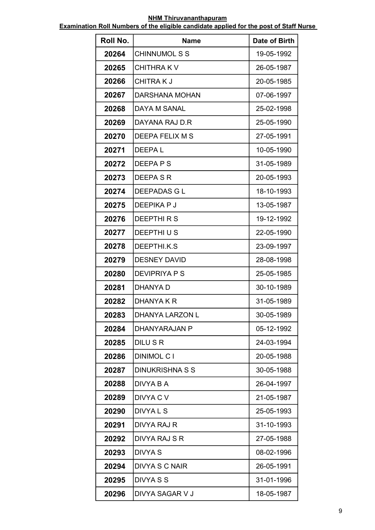| Roll No. | <b>Name</b>            | Date of Birth |
|----------|------------------------|---------------|
| 20264    | <b>CHINNUMOL S S</b>   | 19-05-1992    |
| 20265    | <b>CHITHRAKV</b>       | 26-05-1987    |
| 20266    | <b>CHITRAKJ</b>        | 20-05-1985    |
| 20267    | <b>DARSHANA MOHAN</b>  | 07-06-1997    |
| 20268    | DAYA M SANAL           | 25-02-1998    |
| 20269    | DAYANA RAJ D.R         | 25-05-1990    |
| 20270    | DEEPA FELIX M S        | 27-05-1991    |
| 20271    | DEEPA L                | 10-05-1990    |
| 20272    | <b>DEEPAPS</b>         | 31-05-1989    |
| 20273    | <b>DEEPA S R</b>       | 20-05-1993    |
| 20274    | <b>DEEPADAS G L</b>    | 18-10-1993    |
| 20275    | DEEPIKA P J            | 13-05-1987    |
| 20276    | <b>DEEPTHIRS</b>       | 19-12-1992    |
| 20277    | <b>DEEPTHIUS</b>       | 22-05-1990    |
| 20278    | DEEPTHI.K.S            | 23-09-1997    |
| 20279    | <b>DESNEY DAVID</b>    | 28-08-1998    |
| 20280    | <b>DEVIPRIYA P S</b>   | 25-05-1985    |
| 20281    | <b>DHANYA D</b>        | 30-10-1989    |
| 20282    | DHANYA K R             | 31-05-1989    |
| 20283    | <b>DHANYA LARZON L</b> | 30-05-1989    |
| 20284    | DHANYARAJAN P          | 05-12-1992    |
| 20285    | <b>DILUSR</b>          | 24-03-1994    |
| 20286    | <b>DINIMOL C I</b>     | 20-05-1988    |
| 20287    | <b>DINUKRISHNA S S</b> | 30-05-1988    |
| 20288    | DIVYA B A              | 26-04-1997    |
| 20289    | DIVYA C V              | 21-05-1987    |
| 20290    | DIVYA L S              | 25-05-1993    |
| 20291    | DIVYA RAJ R            | 31-10-1993    |
| 20292    | DIVYA RAJ S R          | 27-05-1988    |
| 20293    | DIVYA S                | 08-02-1996    |
| 20294    | <b>DIVYA S C NAIR</b>  | 26-05-1991    |
| 20295    | <b>DIVYA S S</b>       | 31-01-1996    |
| 20296    | DIVYA SAGAR V J        | 18-05-1987    |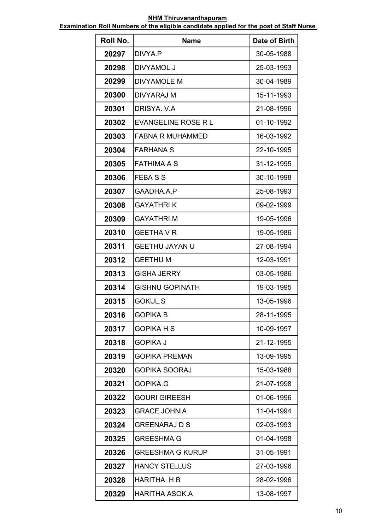| Roll No. | <b>Name</b>                | Date of Birth |
|----------|----------------------------|---------------|
| 20297    | DIVYA.P                    | 30-05-1988    |
| 20298    | DIVYAMOL J                 | 25-03-1993    |
| 20299    | <b>DIVYAMOLE M</b>         | 30-04-1989    |
| 20300    | <b>DIVYARAJ M</b>          | 15-11-1993    |
| 20301    | DRISYA, V.A                | 21-08-1996    |
| 20302    | <b>EVANGELINE ROSE R L</b> | 01-10-1992    |
| 20303    | <b>FABNA R MUHAMMED</b>    | 16-03-1992    |
| 20304    | <b>FARHANA S</b>           | 22-10-1995    |
| 20305    | <b>FATHIMA A S</b>         | 31-12-1995    |
| 20306    | <b>FEBASS</b>              | 30-10-1998    |
| 20307    | GAADHA.A.P                 | 25-08-1993    |
| 20308    | <b>GAYATHRIK</b>           | 09-02-1999    |
| 20309    | <b>GAYATHRI.M</b>          | 19-05-1996    |
| 20310    | <b>GEETHA V R</b>          | 19-05-1986    |
| 20311    | <b>GEETHU JAYAN U</b>      | 27-08-1994    |
| 20312    | <b>GEETHUM</b>             | 12-03-1991    |
| 20313    | <b>GISHA JERRY</b>         | 03-05-1986    |
| 20314    | <b>GISHNU GOPINATH</b>     | 19-03-1995    |
| 20315    | <b>GOKUL.S</b>             | 13-05-1996    |
| 20316    | <b>GOPIKA B</b>            | 28-11-1995    |
| 20317    | <b>GOPIKA H S</b>          | 10-09-1997    |
| 20318    | <b>GOPIKA J</b>            | 21-12-1995    |
| 20319    | <b>GOPIKA PREMAN</b>       | 13-09-1995    |
| 20320    | <b>GOPIKA SOORAJ</b>       | 15-03-1988    |
| 20321    | <b>GOPIKA.G</b>            | 21-07-1998    |
| 20322    | <b>GOURI GIREESH</b>       | 01-06-1996    |
| 20323    | <b>GRACE JOHNIA</b>        | 11-04-1994    |
| 20324    | <b>GREENARAJ D S</b>       | 02-03-1993    |
| 20325    | <b>GREESHMA G</b>          | 01-04-1998    |
| 20326    | <b>GREESHMA G KURUP</b>    | 31-05-1991    |
| 20327    | <b>HANCY STELLUS</b>       | 27-03-1996    |
| 20328    | <b>HARITHA H B</b>         | 28-02-1996    |
| 20329    | <b>HARITHA ASOK.A</b>      | 13-08-1997    |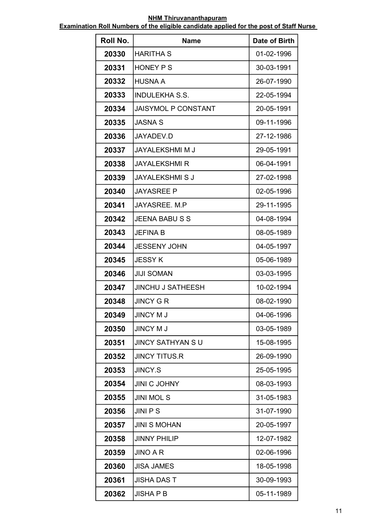| Roll No. | <b>Name</b>                | Date of Birth |
|----------|----------------------------|---------------|
| 20330    | HARITHA S                  | 01-02-1996    |
| 20331    | HONEY P S                  | 30-03-1991    |
| 20332    | <b>HUSNA A</b>             | 26-07-1990    |
| 20333    | <b>INDULEKHA S.S.</b>      | 22-05-1994    |
| 20334    | <b>JAISYMOL P CONSTANT</b> | 20-05-1991    |
| 20335    | <b>JASNA S</b>             | 09-11-1996    |
| 20336    | JAYADEV.D                  | 27-12-1986    |
| 20337    | <b>JAYALEKSHMI M J</b>     | 29-05-1991    |
| 20338    | <b>JAYALEKSHMI R</b>       | 06-04-1991    |
| 20339    | <b>JAYALEKSHMI S J</b>     | 27-02-1998    |
| 20340    | <b>JAYASREE P</b>          | 02-05-1996    |
| 20341    | JAYASREE. M.P              | 29-11-1995    |
| 20342    | <b>JEENA BABU S S</b>      | 04-08-1994    |
| 20343    | <b>JEFINA B</b>            | 08-05-1989    |
| 20344    | <b>JESSENY JOHN</b>        | 04-05-1997    |
| 20345    | <b>JESSY K</b>             | 05-06-1989    |
| 20346    | <b>JIJI SOMAN</b>          | 03-03-1995    |
| 20347    | <b>JINCHU J SATHEESH</b>   | 10-02-1994    |
| 20348    | <b>JINCY G R</b>           | 08-02-1990    |
| 20349    | JINCY M J                  | 04-06-1996    |
| 20350    | <b>JINCY M J</b>           | 03-05-1989    |
| 20351    | <b>JINCY SATHYAN S U</b>   | 15-08-1995    |
| 20352    | <b>JINCY TITUS.R</b>       | 26-09-1990    |
| 20353    | <b>JINCY.S</b>             | 25-05-1995    |
| 20354    | <b>JINI C JOHNY</b>        | 08-03-1993    |
| 20355    | <b>JINI MOL S</b>          | 31-05-1983    |
| 20356    | <b>JINIPS</b>              | 31-07-1990    |
| 20357    | <b>JINI S MOHAN</b>        | 20-05-1997    |
| 20358    | <b>JINNY PHILIP</b>        | 12-07-1982    |
| 20359    | <b>JINO A R</b>            | 02-06-1996    |
| 20360    | <b>JISA JAMES</b>          | 18-05-1998    |
| 20361    | <b>JISHA DAS T</b>         | 30-09-1993    |
| 20362    | <b>JISHA P B</b>           | 05-11-1989    |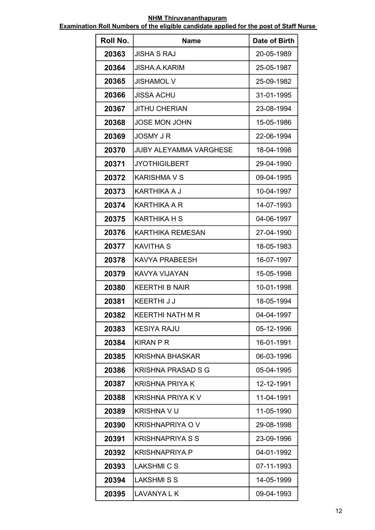| Roll No. | Name                          | Date of Birth |
|----------|-------------------------------|---------------|
| 20363    | JISHA S RAJ                   | 20-05-1989    |
| 20364    | <b>JISHA.A.KARIM</b>          | 25-05-1987    |
| 20365    | <b>JISHAMOL V</b>             | 25-09-1982    |
| 20366    | <b>JISSA ACHU</b>             | 31-01-1995    |
| 20367    | <b>JITHU CHERIAN</b>          | 23-08-1994    |
| 20368    | <b>JOSE MON JOHN</b>          | 15-05-1986    |
| 20369    | JOSMY J R                     | 22-06-1994    |
| 20370    | <b>JUBY ALEYAMMA VARGHESE</b> | 18-04-1998    |
| 20371    | <b>JYOTHIGILBERT</b>          | 29-04-1990    |
| 20372    | <b>KARISHMA V S</b>           | 09-04-1995    |
| 20373    | <b>KARTHIKA A J</b>           | 10-04-1997    |
| 20374    | <b>KARTHIKA A R</b>           | 14-07-1993    |
| 20375    | <b>KARTHIKA H S</b>           | 04-06-1997    |
| 20376    | <b>KARTHIKA REMESAN</b>       | 27-04-1990    |
| 20377    | <b>KAVITHA S</b>              | 18-05-1983    |
| 20378    | <b>KAVYA PRABEESH</b>         | 16-07-1997    |
| 20379    | KAVYA VIJAYAN                 | 15-05-1998    |
| 20380    | <b>KEERTHI B NAIR</b>         | 10-01-1998    |
| 20381    | KEERTHI J J                   | 18-05-1994    |
| 20382    | <b>KEERTHI NATH M R</b>       | 04-04-1997    |
| 20383    | <b>KESIYA RAJU</b>            | 05-12-1996    |
| 20384    | <b>KIRAN P R</b>              | 16-01-1991    |
| 20385    | <b>KRISHNA BHASKAR</b>        | 06-03-1996    |
| 20386    | <b>KRISHNA PRASAD S G</b>     | 05-04-1995    |
| 20387    | KRISHNA PRIYA K               | 12-12-1991    |
| 20388    | <b>KRISHNA PRIYA K V</b>      | 11-04-1991    |
| 20389    | <b>KRISHNA V U</b>            | 11-05-1990    |
| 20390    | <b>KRISHNAPRIYA O V</b>       | 29-08-1998    |
| 20391    | <b>KRISHNAPRIYA S S</b>       | 23-09-1996    |
| 20392    | <b>KRISHNAPRIYA.P</b>         | 04-01-1992    |
| 20393    | <b>LAKSHMI C S</b>            | 07-11-1993    |
| 20394    | <b>LAKSHMISS</b>              | 14-05-1999    |
| 20395    | LAVANYA L K                   | 09-04-1993    |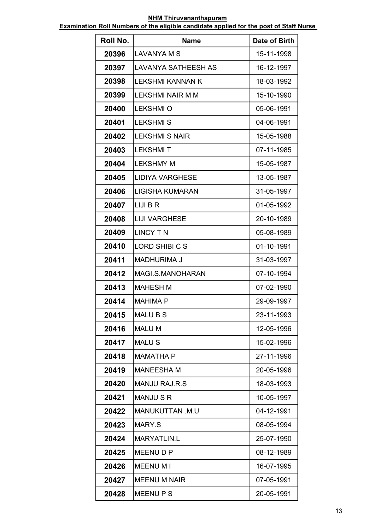| Roll No. | <b>Name</b>                | Date of Birth |
|----------|----------------------------|---------------|
| 20396    | LAVANYA M S                | 15-11-1998    |
| 20397    | <b>LAVANYA SATHEESH AS</b> | 16-12-1997    |
| 20398    | LEKSHMI KANNAN K           | 18-03-1992    |
| 20399    | <b>LEKSHMI NAIR M M</b>    | 15-10-1990    |
| 20400    | <b>LEKSHMI O</b>           | 05-06-1991    |
| 20401    | <b>LEKSHMIS</b>            | 04-06-1991    |
| 20402    | <b>LEKSHMI S NAIR</b>      | 15-05-1988    |
| 20403    | <b>LEKSHMIT</b>            | 07-11-1985    |
| 20404    | <b>LEKSHMY M</b>           | 15-05-1987    |
| 20405    | <b>LIDIYA VARGHESE</b>     | 13-05-1987    |
| 20406    | LIGISHA KUMARAN            | 31-05-1997    |
| 20407    | LIJI B R                   | 01-05-1992    |
| 20408    | <b>LIJI VARGHESE</b>       | 20-10-1989    |
| 20409    | <b>LINCY TN</b>            | 05-08-1989    |
| 20410    | LORD SHIBICS               | 01-10-1991    |
| 20411    | <b>MADHURIMA J</b>         | 31-03-1997    |
| 20412    | MAGI.S.MANOHARAN           | 07-10-1994    |
| 20413    | <b>MAHESH M</b>            | 07-02-1990    |
| 20414    | <b>MAHIMA P</b>            | 29-09-1997    |
| 20415    | <b>MALUBS</b>              | 23-11-1993    |
| 20416    | <b>MALU M</b>              | 12-05-1996    |
| 20417    | <b>MALUS</b>               | 15-02-1996    |
| 20418    | <b>MAMATHA P</b>           | 27-11-1996    |
| 20419    | <b>MANEESHA M</b>          | 20-05-1996    |
| 20420    | MANJU RAJ R S              | 18-03-1993    |
| 20421    | <b>MANJUSR</b>             | 10-05-1997    |
| 20422    | MANUKUTTAN .M.U            | 04-12-1991    |
| 20423    | MARY.S                     | 08-05-1994    |
| 20424    | <b>MARYATLIN.L</b>         | 25-07-1990    |
| 20425    | MEENU D P                  | 08-12-1989    |
| 20426    | <b>MEENU MI</b>            | 16-07-1995    |
| 20427    | <b>MEENU M NAIR</b>        | 07-05-1991    |
| 20428    | <b>MEENUPS</b>             | 20-05-1991    |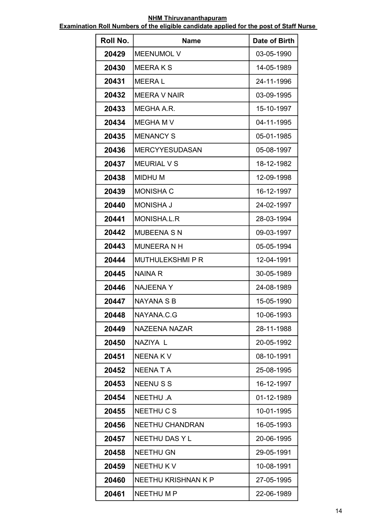| Roll No. | <b>Name</b>            | Date of Birth |
|----------|------------------------|---------------|
| 20429    | <b>MEENUMOL V</b>      | 03-05-1990    |
| 20430    | MEERA K S              | 14-05-1989    |
| 20431    | <b>MEERAL</b>          | 24-11-1996    |
| 20432    | <b>MEERA V NAIR</b>    | 03-09-1995    |
| 20433    | MEGHA A.R.             | 15-10-1997    |
| 20434    | MEGHA M V              | 04-11-1995    |
| 20435    | <b>MENANCY S</b>       | 05-01-1985    |
| 20436    | <b>MERCYYESUDASAN</b>  | 05-08-1997    |
| 20437    | <b>MEURIAL V S</b>     | 18-12-1982    |
| 20438    | <b>MIDHUM</b>          | 12-09-1998    |
| 20439    | <b>MONISHA C</b>       | 16-12-1997    |
| 20440    | <b>MONISHA J</b>       | 24-02-1997    |
| 20441    | MONISHA.L.R            | 28-03-1994    |
| 20442    | <b>MUBEENA S N</b>     | 09-03-1997    |
| 20443    | <b>MUNEERANH</b>       | 05-05-1994    |
| 20444    | <b>MUTHULEKSHMIPR</b>  | 12-04-1991    |
| 20445    | <b>NAINAR</b>          | 30-05-1989    |
| 20446    | <b>NAJEENAY</b>        | 24-08-1989    |
| 20447    | NAYANA S B             | 15-05-1990    |
| 20448    | NAYANA.C.G             | 10-06-1993    |
| 20449    | <b>NAZEENA NAZAR</b>   | 28-11-1988    |
| 20450    | NAZIYA L               | 20-05-1992    |
| 20451    | <b>NEENAKV</b>         | 08-10-1991    |
| 20452    | <b>NEENATA</b>         | 25-08-1995    |
| 20453    | <b>NEENUSS</b>         | 16-12-1997    |
| 20454    | <b>NEETHU .A</b>       | 01-12-1989    |
| 20455    | NEETHU C S             | 10-01-1995    |
| 20456    | <b>NEETHU CHANDRAN</b> | 16-05-1993    |
| 20457    | <b>NEETHU DAS Y L</b>  | 20-06-1995    |
| 20458    | <b>NEETHU GN</b>       | 29-05-1991    |
| 20459    | <b>NEETHUKV</b>        | 10-08-1991    |
| 20460    | NEETHU KRISHNAN K P    | 27-05-1995    |
| 20461    | NEETHU M P             | 22-06-1989    |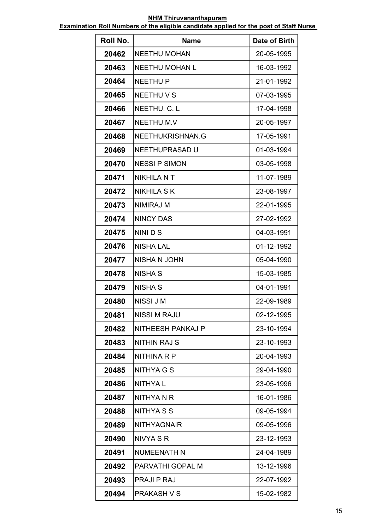| Roll No. | <b>Name</b>              | Date of Birth |
|----------|--------------------------|---------------|
| 20462    | <b>NEETHU MOHAN</b>      | 20-05-1995    |
| 20463    | <b>NEETHU MOHAN L</b>    | 16-03-1992    |
| 20464    | <b>NEETHU P</b>          | 21-01-1992    |
| 20465    | <b>NEETHUVS</b>          | 07-03-1995    |
| 20466    | NEETHU. C. L             | 17-04-1998    |
| 20467    | NEETHU.M.V               | 20-05-1997    |
| 20468    | NEETHUKRISHNAN.G         | 17-05-1991    |
| 20469    | NEETHUPRASAD U           | 01-03-1994    |
| 20470    | <b>NESSI P SIMON</b>     | 03-05-1998    |
| 20471    | <b>NIKHILA N T</b>       | 11-07-1989    |
| 20472    | <b>NIKHILA S K</b>       | 23-08-1997    |
| 20473    | <b>NIMIRAJ M</b>         | 22-01-1995    |
| 20474    | <b>NINCY DAS</b>         | 27-02-1992    |
| 20475    | NINI D S                 | 04-03-1991    |
| 20476    | <b>NISHA LAL</b>         | 01-12-1992    |
| 20477    | <b>NISHA N JOHN</b>      | 05-04-1990    |
| 20478    | <b>NISHA S</b>           | 15-03-1985    |
| 20479    | <b>NISHA S</b>           | 04-01-1991    |
| 20480    | NISSI J M                | 22-09-1989    |
| 20481    | <b>NISSI M RAJU</b>      | 02-12-1995    |
| 20482    | <b>NITHEESH PANKAJ P</b> | 23-10-1994    |
| 20483    | <b>NITHIN RAJ S</b>      | 23-10-1993    |
| 20484    | NITHINA R P              | 20-04-1993    |
| 20485    | <b>NITHYA G S</b>        | 29-04-1990    |
| 20486    | <b>NITHYAL</b>           | 23-05-1996    |
| 20487    | NITHYA N R               | 16-01-1986    |
| 20488    | <b>NITHYA S S</b>        | 09-05-1994    |
| 20489    | <b>NITHYAGNAIR</b>       | 09-05-1996    |
| 20490    | NIVYA S R                | 23-12-1993    |
| 20491    | <b>NUMEENATH N</b>       | 24-04-1989    |
| 20492    | PARVATHI GOPAL M         | 13-12-1996    |
| 20493    | <b>PRAJI P RAJ</b>       | 22-07-1992    |
| 20494    | <b>PRAKASH V S</b>       | 15-02-1982    |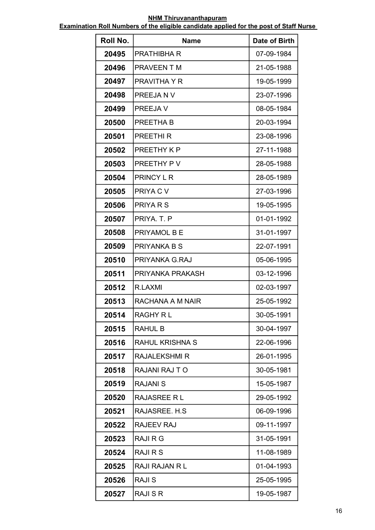| Roll No. | <b>Name</b>            | Date of Birth |
|----------|------------------------|---------------|
| 20495    | <b>PRATHIBHA R</b>     | 07-09-1984    |
| 20496    | <b>PRAVEEN T M</b>     | 21-05-1988    |
| 20497    | <b>PRAVITHA Y R</b>    | 19-05-1999    |
| 20498    | PREEJAN V              | 23-07-1996    |
| 20499    | PREEJA V               | 08-05-1984    |
| 20500    | PREETHA B              | 20-03-1994    |
| 20501    | <b>PREETHIR</b>        | 23-08-1996    |
| 20502    | PREETHY K P            | 27-11-1988    |
| 20503    | PREETHY PV             | 28-05-1988    |
| 20504    | <b>PRINCY L R</b>      | 28-05-1989    |
| 20505    | PRIYA C V              | 27-03-1996    |
| 20506    | PRIYA R S              | 19-05-1995    |
| 20507    | PRIYA, T. P            | 01-01-1992    |
| 20508    | <b>PRIYAMOL B E</b>    | 31-01-1997    |
| 20509    | PRIYANKA B S           | 22-07-1991    |
| 20510    | PRIYANKA G.RAJ         | 05-06-1995    |
| 20511    | PRIYANKA PRAKASH       | 03-12-1996    |
| 20512    | R.LAXMI                | 02-03-1997    |
| 20513    | RACHANA A M NAIR       | 25-05-1992    |
| 20514    | <b>RAGHY RL</b>        | 30-05-1991    |
| 20515    | <b>RAHUL B</b>         | 30-04-1997    |
| 20516    | <b>RAHUL KRISHNA S</b> | 22-06-1996    |
| 20517    | <b>RAJALEKSHMI R</b>   | 26-01-1995    |
| 20518    | RAJANI RAJ TO          | 30-05-1981    |
| 20519    | <b>RAJANI S</b>        | 15-05-1987    |
| 20520    | RAJASREE R L           | 29-05-1992    |
| 20521    | RAJASREE. H.S.         | 06-09-1996    |
| 20522    | <b>RAJEEV RAJ</b>      | 09-11-1997    |
| 20523    | <b>RAJI R G</b>        | 31-05-1991    |
| 20524    | <b>RAJI R S</b>        | 11-08-1989    |
| 20525    | <b>RAJI RAJAN R L</b>  | 01-04-1993    |
| 20526    | <b>RAJIS</b>           | 25-05-1995    |
| 20527    | <b>RAJI S R</b>        | 19-05-1987    |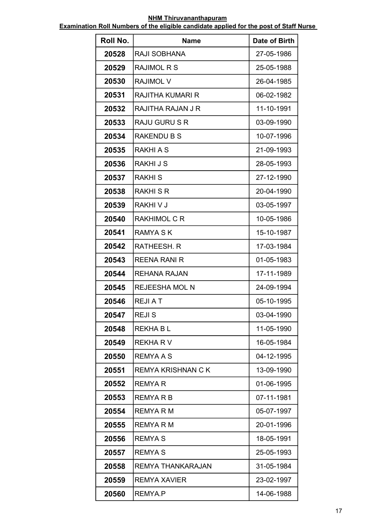| Roll No. | <b>Name</b>               | Date of Birth |
|----------|---------------------------|---------------|
| 20528    | RAJI SOBHANA              | 27-05-1986    |
| 20529    | <b>RAJIMOL R S</b>        | 25-05-1988    |
| 20530    | <b>RAJIMOL V</b>          | 26-04-1985    |
| 20531    | RAJITHA KUMARI R          | 06-02-1982    |
| 20532    | RAJITHA RAJAN J R         | 11-10-1991    |
| 20533    | <b>RAJU GURU S R</b>      | 03-09-1990    |
| 20534    | <b>RAKENDU B S</b>        | 10-07-1996    |
| 20535    | <b>RAKHI A S</b>          | 21-09-1993    |
| 20536    | <b>RAKHIJS</b>            | 28-05-1993    |
| 20537    | <b>RAKHIS</b>             | 27-12-1990    |
| 20538    | <b>RAKHI S R</b>          | 20-04-1990    |
| 20539    | RAKHI V J                 | 03-05-1997    |
| 20540    | <b>RAKHIMOL C R</b>       | 10-05-1986    |
| 20541    | <b>RAMYA S K</b>          | 15-10-1987    |
| 20542    | RATHEESH. R               | 17-03-1984    |
| 20543    | <b>REENA RANI R</b>       | 01-05-1983    |
| 20544    | REHANA RAJAN              | 17-11-1989    |
| 20545    | <b>REJEESHA MOL N</b>     | 24-09-1994    |
| 20546    | REJI A T                  | 05-10-1995    |
| 20547    | <b>REJIS</b>              | 03-04-1990    |
| 20548    | <b>REKHABL</b>            | 11-05-1990    |
| 20549    | <b>REKHARV</b>            | 16-05-1984    |
| 20550    | <b>REMYAAS</b>            | 04-12-1995    |
| 20551    | <b>REMYA KRISHNAN C K</b> | 13-09-1990    |
| 20552    | <b>REMYAR</b>             | 01-06-1995    |
| 20553    | REMYA R B                 | 07-11-1981    |
| 20554    | REMYA R M                 | 05-07-1997    |
| 20555    | REMYA R M                 | 20-01-1996    |
| 20556    | <b>REMYAS</b>             | 18-05-1991    |
| 20557    | <b>REMYAS</b>             | 25-05-1993    |
| 20558    | <b>REMYA THANKARAJAN</b>  | 31-05-1984    |
| 20559    | <b>REMYA XAVIER</b>       | 23-02-1997    |
| 20560    | REMYA.P                   | 14-06-1988    |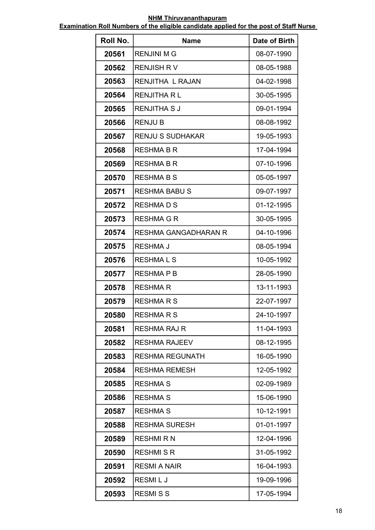| Roll No. | <b>Name</b>             | Date of Birth |
|----------|-------------------------|---------------|
| 20561    | <b>RENJINI M G</b>      | 08-07-1990    |
| 20562    | <b>RENJISH RV</b>       | 08-05-1988    |
| 20563    | <b>RENJITHA L RAJAN</b> | 04-02-1998    |
| 20564    | <b>RENJITHA RL</b>      | 30-05-1995    |
| 20565    | <b>RENJITHA SJ</b>      | 09-01-1994    |
| 20566    | <b>RENJU B</b>          | 08-08-1992    |
| 20567    | <b>RENJU S SUDHAKAR</b> | 19-05-1993    |
| 20568    | <b>RESHMA B R</b>       | 17-04-1994    |
| 20569    | <b>RESHMA B R</b>       | 07-10-1996    |
| 20570    | <b>RESHMA B S</b>       | 05-05-1997    |
| 20571    | <b>RESHMA BABU S</b>    | 09-07-1997    |
| 20572    | <b>RESHMADS</b>         | 01-12-1995    |
| 20573    | <b>RESHMA G R</b>       | 30-05-1995    |
| 20574    | RESHMA GANGADHARAN R    | 04-10-1996    |
| 20575    | <b>RESHMA J</b>         | 08-05-1994    |
| 20576    | <b>RESHMALS</b>         | 10-05-1992    |
| 20577    | <b>RESHMAPB</b>         | 28-05-1990    |
| 20578    | <b>RESHMAR</b>          | 13-11-1993    |
| 20579    | <b>RESHMARS</b>         | 22-07-1997    |
| 20580    | <b>RESHMARS</b>         | 24-10-1997    |
| 20581    | <b>RESHMA RAJ R</b>     | 11-04-1993    |
| 20582    | <b>RESHMA RAJEEV</b>    | 08-12-1995    |
| 20583    | <b>RESHMA REGUNATH</b>  | 16-05-1990    |
| 20584    | <b>RESHMA REMESH</b>    | 12-05-1992    |
| 20585    | <b>RESHMA S</b>         | 02-09-1989    |
| 20586    | <b>RESHMA S</b>         | 15-06-1990    |
| 20587    | <b>RESHMA S</b>         | 10-12-1991    |
| 20588    | <b>RESHMA SURESH</b>    | 01-01-1997    |
| 20589    | <b>RESHMIRN</b>         | 12-04-1996    |
| 20590    | <b>RESHMISR</b>         | 31-05-1992    |
| 20591    | <b>RESMI A NAIR</b>     | 16-04-1993    |
| 20592    | <b>RESMILJ</b>          | 19-09-1996    |
| 20593    | <b>RESMISS</b>          | 17-05-1994    |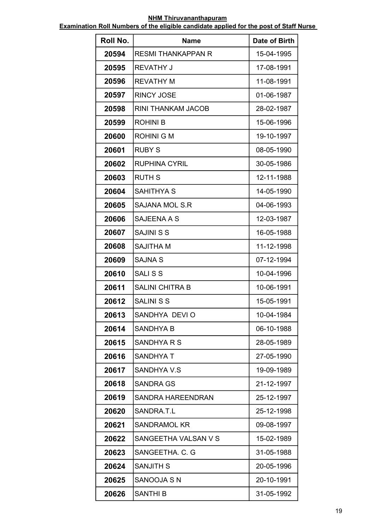| Roll No. | <b>Name</b>               | Date of Birth |
|----------|---------------------------|---------------|
| 20594    | <b>RESMI THANKAPPAN R</b> | 15-04-1995    |
| 20595    | <b>REVATHY J</b>          | 17-08-1991    |
| 20596    | <b>REVATHY M</b>          | 11-08-1991    |
| 20597    | <b>RINCY JOSE</b>         | 01-06-1987    |
| 20598    | <b>RINI THANKAM JACOB</b> | 28-02-1987    |
| 20599    | <b>ROHINI B</b>           | 15-06-1996    |
| 20600    | <b>ROHINI G M</b>         | 19-10-1997    |
| 20601    | <b>RUBY S</b>             | 08-05-1990    |
| 20602    | <b>RUPHINA CYRIL</b>      | 30-05-1986    |
| 20603    | <b>RUTH S</b>             | 12-11-1988    |
| 20604    | <b>SAHITHYA S</b>         | 14-05-1990    |
| 20605    | <b>SAJANA MOL S.R</b>     | 04-06-1993    |
| 20606    | SAJEENA A S               | 12-03-1987    |
| 20607    | <b>SAJINI S S</b>         | 16-05-1988    |
| 20608    | <b>SAJITHA M</b>          | 11-12-1998    |
| 20609    | <b>SAJNA S</b>            | 07-12-1994    |
| 20610    | <b>SALISS</b>             | 10-04-1996    |
| 20611    | <b>SALINI CHITRA B</b>    | 10-06-1991    |
| 20612    | <b>SALINI S S</b>         | 15-05-1991    |
| 20613    | SANDHYA DEVI O            | 10-04-1984    |
| 20614    | SANDHYA B                 | 06-10-1988    |
| 20615    | SANDHYA R S               | 28-05-1989    |
| 20616    | <b>SANDHYAT</b>           | 27-05-1990    |
| 20617    | <b>SANDHYA V.S</b>        | 19-09-1989    |
| 20618    | SANDRA GS                 | 21-12-1997    |
| 20619    | SANDRA HAREENDRAN         | 25-12-1997    |
| 20620    | SANDRA.T.L                | 25-12-1998    |
| 20621    | <b>SANDRAMOL KR</b>       | 09-08-1997    |
| 20622    | SANGEETHA VALSAN V S      | 15-02-1989    |
| 20623    | SANGEETHA, C. G           | 31-05-1988    |
| 20624    | <b>SANJITH S</b>          | 20-05-1996    |
| 20625    | <b>SANOOJA SN</b>         | 20-10-1991    |
| 20626    | <b>SANTHI B</b>           | 31-05-1992    |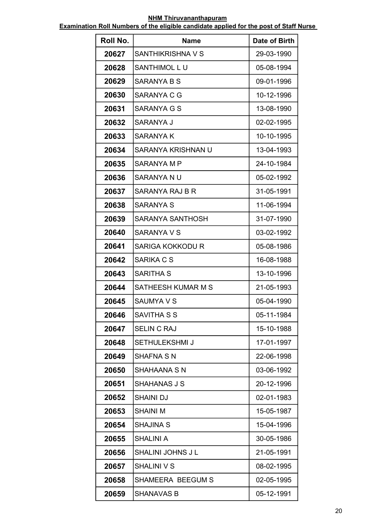| Roll No. | <b>Name</b>             | Date of Birth |
|----------|-------------------------|---------------|
| 20627    | SANTHIKRISHNA V S       | 29-03-1990    |
| 20628    | SANTHIMOL LU            | 05-08-1994    |
| 20629    | SARANYA B S             | 09-01-1996    |
| 20630    | <b>SARANYA C G</b>      | 10-12-1996    |
| 20631    | <b>SARANYA G S</b>      | 13-08-1990    |
| 20632    | SARANYA J               | 02-02-1995    |
| 20633    | SARANYA K               | 10-10-1995    |
| 20634    | SARANYA KRISHNAN U      | 13-04-1993    |
| 20635    | SARANYA M P             | 24-10-1984    |
| 20636    | SARANYA N U             | 05-02-1992    |
| 20637    | SARANYA RAJ B R         | 31-05-1991    |
| 20638    | <b>SARANYA S</b>        | 11-06-1994    |
| 20639    | SARANYA SANTHOSH        | 31-07-1990    |
| 20640    | SARANYA V S             | 03-02-1992    |
| 20641    | <b>SARIGA KOKKODU R</b> | 05-08-1986    |
| 20642    | SARIKA C S              | 16-08-1988    |
| 20643    | SARITHA S               | 13-10-1996    |
| 20644    | SATHEESH KUMAR M S      | 21-05-1993    |
| 20645    | <b>SAUMYA V S</b>       | 05-04-1990    |
| 20646    | SAVITHA S S             | 05-11-1984    |
| 20647    | <b>SELIN C RAJ</b>      | 15-10-1988    |
| 20648    | <b>SETHULEKSHMI J</b>   | 17-01-1997    |
| 20649    | SHAFNA S N              | 22-06-1998    |
| 20650    | SHAHAANA S N            | 03-06-1992    |
| 20651    | SHAHANAS J S            | 20-12-1996    |
| 20652    | SHAINI DJ               | 02-01-1983    |
| 20653    | SHAINI M                | 15-05-1987    |
| 20654    | <b>SHAJINA S</b>        | 15-04-1996    |
| 20655    | <b>SHALINI A</b>        | 30-05-1986    |
| 20656    | SHALINI JOHNS J L       | 21-05-1991    |
| 20657    | <b>SHALINI V S</b>      | 08-02-1995    |
| 20658    | SHAMEERA BEEGUM S       | 02-05-1995    |
| 20659    | <b>SHANAVAS B</b>       | 05-12-1991    |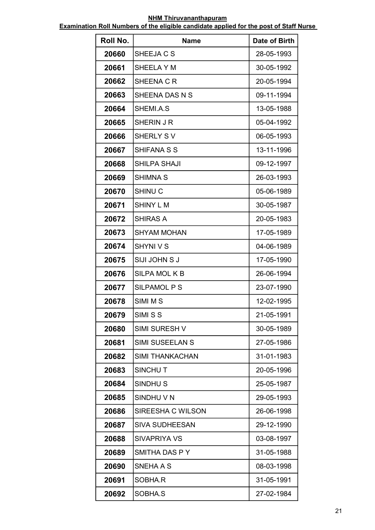| Roll No. | <b>Name</b>            | Date of Birth |
|----------|------------------------|---------------|
| 20660    | SHEEJA C S             | 28-05-1993    |
| 20661    | SHEELA Y M             | 30-05-1992    |
| 20662    | SHEENA C R             | 20-05-1994    |
| 20663    | SHEENA DAS N S         | 09-11-1994    |
| 20664    | SHEMI.A.S              | 13-05-1988    |
| 20665    | SHERIN J R             | 05-04-1992    |
| 20666    | <b>SHERLY SV</b>       | 06-05-1993    |
| 20667    | <b>SHIFANA S S</b>     | 13-11-1996    |
| 20668    | <b>SHILPA SHAJI</b>    | 09-12-1997    |
| 20669    | <b>SHIMNA S</b>        | 26-03-1993    |
| 20670    | <b>SHINU C</b>         | 05-06-1989    |
| 20671    | <b>SHINY L M</b>       | 30-05-1987    |
| 20672    | <b>SHIRAS A</b>        | 20-05-1983    |
| 20673    | SHYAM MOHAN            | 17-05-1989    |
| 20674    | SHYNI V S              | 04-06-1989    |
| 20675    | SIJI JOHN S J          | 17-05-1990    |
| 20676    | <b>SILPA MOL K B</b>   | 26-06-1994    |
| 20677    | <b>SILPAMOL P S</b>    | 23-07-1990    |
| 20678    | SIMI M S               | 12-02-1995    |
| 20679    | SIMI S S               | 21-05-1991    |
| 20680    | <b>SIMI SURESH V</b>   | 30-05-1989    |
| 20681    | <b>SIMI SUSEELAN S</b> | 27-05-1986    |
| 20682    | <b>SIMI THANKACHAN</b> | 31-01-1983    |
| 20683    | SINCHUT                | 20-05-1996    |
| 20684    | SINDHU <sub>S</sub>    | 25-05-1987    |
| 20685    | SINDHU V N             | 29-05-1993    |
| 20686    | SIREESHA C WILSON      | 26-06-1998    |
| 20687    | <b>SIVA SUDHEESAN</b>  | 29-12-1990    |
| 20688    | <b>SIVAPRIYA VS</b>    | 03-08-1997    |
| 20689    | SMITHA DAS P Y         | 31-05-1988    |
| 20690    | SNEHA A S              | 08-03-1998    |
| 20691    | SOBHA.R                | 31-05-1991    |
| 20692    | SOBHA.S                | 27-02-1984    |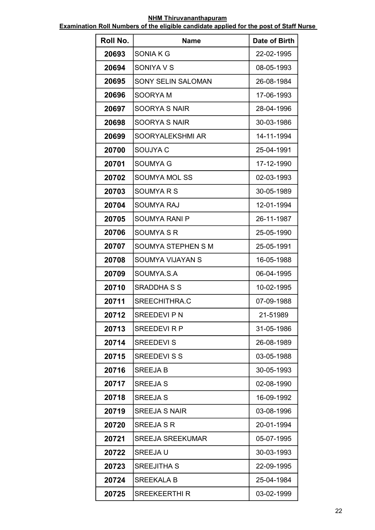| Roll No. | <b>Name</b>               | Date of Birth |
|----------|---------------------------|---------------|
| 20693    | <b>SONIAKG</b>            | 22-02-1995    |
| 20694    | SONIYA V S                | 08-05-1993    |
| 20695    | <b>SONY SELIN SALOMAN</b> | 26-08-1984    |
| 20696    | <b>SOORYAM</b>            | 17-06-1993    |
| 20697    | <b>SOORYA S NAIR</b>      | 28-04-1996    |
| 20698    | <b>SOORYA S NAIR</b>      | 30-03-1986    |
| 20699    | SOORYALEKSHMI AR          | 14-11-1994    |
| 20700    | SOUJYA C                  | 25-04-1991    |
| 20701    | <b>SOUMYA G</b>           | 17-12-1990    |
| 20702    | <b>SOUMYA MOL SS</b>      | 02-03-1993    |
| 20703    | <b>SOUMYARS</b>           | 30-05-1989    |
| 20704    | <b>SOUMYA RAJ</b>         | 12-01-1994    |
| 20705    | <b>SOUMYA RANI P</b>      | 26-11-1987    |
| 20706    | <b>SOUMYA S R</b>         | 25-05-1990    |
| 20707    | <b>SOUMYA STEPHEN S M</b> | 25-05-1991    |
| 20708    | <b>SOUMYA VIJAYAN S</b>   | 16-05-1988    |
| 20709    | SOUMYA.S.A                | 06-04-1995    |
| 20710    | <b>SRADDHA S S</b>        | 10-02-1995    |
| 20711    | SREECHITHRA.C             | 07-09-1988    |
| 20712    | <b>SREEDEVIPN</b>         | 21-51989      |
| 20713    | <b>SREEDEVIRP</b>         | 31-05-1986    |
| 20714    | <b>SREEDEVI S</b>         | 26-08-1989    |
| 20715    | <b>SREEDEVI S S</b>       | 03-05-1988    |
| 20716    | <b>SREEJAB</b>            | 30-05-1993    |
| 20717    | <b>SREEJA S</b>           | 02-08-1990    |
| 20718    | <b>SREEJA S</b>           | 16-09-1992    |
| 20719    | <b>SREEJA S NAIR</b>      | 03-08-1996    |
| 20720    | <b>SREEJA S R</b>         | 20-01-1994    |
| 20721    | <b>SREEJA SREEKUMAR</b>   | 05-07-1995    |
| 20722    | <b>SREEJAU</b>            | 30-03-1993    |
| 20723    | <b>SREEJITHA S</b>        | 22-09-1995    |
| 20724    | <b>SREEKALA B</b>         | 25-04-1984    |
| 20725    | <b>SREEKEERTHI R</b>      | 03-02-1999    |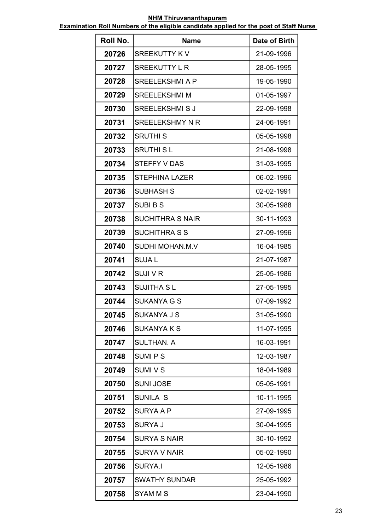| Roll No. | <b>Name</b>             | Date of Birth |
|----------|-------------------------|---------------|
| 20726    | <b>SREEKUTTY KV</b>     | 21-09-1996    |
| 20727    | <b>SREEKUTTY L R</b>    | 28-05-1995    |
| 20728    | <b>SREELEKSHMI A P</b>  | 19-05-1990    |
| 20729    | <b>SREELEKSHMI M</b>    | 01-05-1997    |
| 20730    | <b>SREELEKSHMI S J</b>  | 22-09-1998    |
| 20731    | <b>SREELEKSHMY N R</b>  | 24-06-1991    |
| 20732    | <b>SRUTHI S</b>         | 05-05-1998    |
| 20733    | <b>SRUTHI SL</b>        | 21-08-1998    |
| 20734    | <b>STEFFY V DAS</b>     | 31-03-1995    |
| 20735    | <b>STEPHINA LAZER</b>   | 06-02-1996    |
| 20736    | <b>SUBHASH S</b>        | 02-02-1991    |
| 20737    | <b>SUBIBS</b>           | 30-05-1988    |
| 20738    | <b>SUCHITHRA S NAIR</b> | 30-11-1993    |
| 20739    | <b>SUCHITHRA S S</b>    | 27-09-1996    |
| 20740    | SUDHI MOHAN.M.V         | 16-04-1985    |
| 20741    | <b>SUJAL</b>            | 21-07-1987    |
| 20742    | SUJI V R                | 25-05-1986    |
| 20743    | <b>SUJITHA SL</b>       | 27-05-1995    |
| 20744    | SUKANYA G S             | 07-09-1992    |
| 20745    | <b>SUKANYA J S</b>      | 31-05-1990    |
| 20746    | <b>SUKANYA K S</b>      | 11-07-1995    |
| 20747    | <b>SULTHAN. A</b>       | 16-03-1991    |
| 20748    | <b>SUMIPS</b>           | 12-03-1987    |
| 20749    | <b>SUMIVS</b>           | 18-04-1989    |
| 20750    | <b>SUNI JOSE</b>        | 05-05-1991    |
| 20751    | <b>SUNILA S</b>         | 10-11-1995    |
| 20752    | SURYA A P               | 27-09-1995    |
| 20753    | <b>SURYA J</b>          | 30-04-1995    |
| 20754    | <b>SURYA S NAIR</b>     | 30-10-1992    |
| 20755    | <b>SURYA V NAIR</b>     | 05-02-1990    |
| 20756    | SURYA.I                 | 12-05-1986    |
| 20757    | <b>SWATHY SUNDAR</b>    | 25-05-1992    |
| 20758    | SYAM M S                | 23-04-1990    |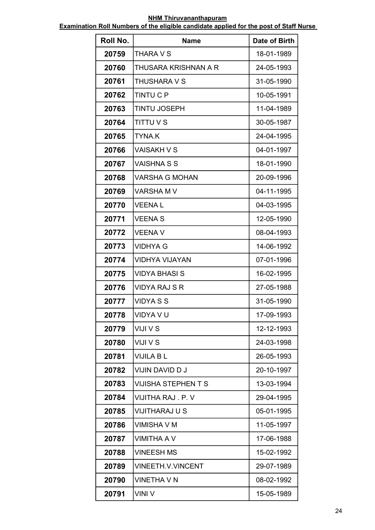| Roll No. | <b>Name</b>                | Date of Birth |
|----------|----------------------------|---------------|
| 20759    | THARA V S                  | 18-01-1989    |
| 20760    | THUSARA KRISHNAN A R       | 24-05-1993    |
| 20761    | THUSHARA V S               | 31-05-1990    |
| 20762    | <b>TINTU C P</b>           | 10-05-1991    |
| 20763    | <b>TINTU JOSEPH</b>        | 11-04-1989    |
| 20764    | <b>TITTU V S</b>           | 30-05-1987    |
| 20765    | <b>TYNA.K</b>              | 24-04-1995    |
| 20766    | <b>VAISAKH V S</b>         | 04-01-1997    |
| 20767    | <b>VAISHNA S S</b>         | 18-01-1990    |
| 20768    | <b>VARSHA G MOHAN</b>      | 20-09-1996    |
| 20769    | <b>VARSHAM V</b>           | 04-11-1995    |
| 20770    | <b>VEENAL</b>              | 04-03-1995    |
| 20771    | <b>VEENA S</b>             | 12-05-1990    |
| 20772    | VEENA V                    | 08-04-1993    |
| 20773    | <b>VIDHYA G</b>            | 14-06-1992    |
| 20774    | <b>VIDHYA VIJAYAN</b>      | 07-01-1996    |
| 20775    | VIDYA BHASI S              | 16-02-1995    |
| 20776    | <b>VIDYA RAJ S R</b>       | 27-05-1988    |
| 20777    | <b>VIDYA S S</b>           | 31-05-1990    |
| 20778    | VIDYA V U                  | 17-09-1993    |
| 20779    | VIJI V S                   | 12-12-1993    |
| 20780    | VIJI V S                   | 24-03-1998    |
| 20781    | <b>VIJILA B L</b>          | 26-05-1993    |
| 20782    | VIJIN DAVID D J            | 20-10-1997    |
| 20783    | <b>VIJISHA STEPHEN T S</b> | 13-03-1994    |
| 20784    | VIJITHA RAJ. P. V          | 29-04-1995    |
| 20785    | VIJITHARAJ U S             | 05-01-1995    |
| 20786    | <b>VIMISHA V M</b>         | 11-05-1997    |
| 20787    | <b>VIMITHA A V</b>         | 17-06-1988    |
| 20788    | <b>VINEESH MS</b>          | 15-02-1992    |
| 20789    | <b>VINEETH.V.VINCENT</b>   | 29-07-1989    |
| 20790    | <b>VINETHA V N</b>         | 08-02-1992    |
| 20791    | VINI V                     | 15-05-1989    |